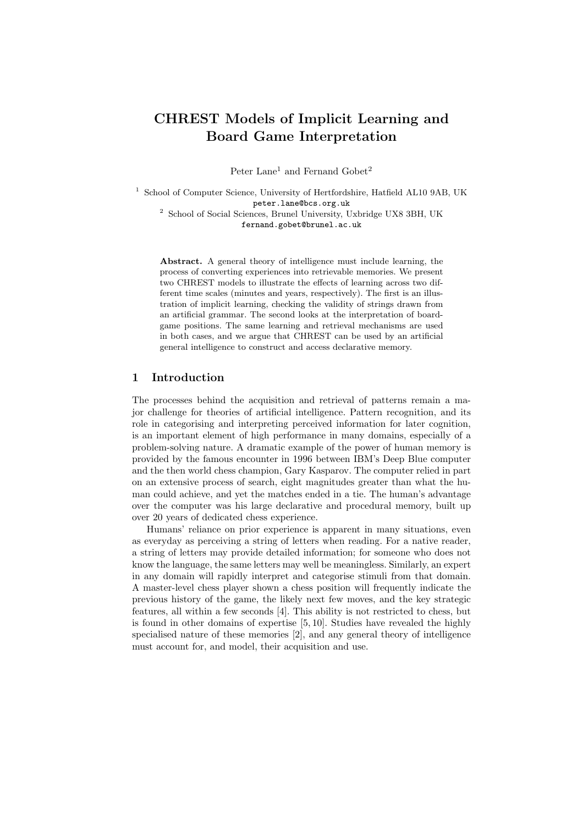# CHREST Models of Implicit Learning and Board Game Interpretation

Peter Lane<sup>1</sup> and Fernand Gobet<sup>2</sup>

<sup>1</sup> School of Computer Science, University of Hertfordshire, Hatfield AL10 9AB, UK peter.lane@bcs.org.uk <sup>2</sup> School of Social Sciences, Brunel University, Uxbridge UX8 3BH, UK

fernand.gobet@brunel.ac.uk

Abstract. A general theory of intelligence must include learning, the process of converting experiences into retrievable memories. We present two CHREST models to illustrate the effects of learning across two different time scales (minutes and years, respectively). The first is an illustration of implicit learning, checking the validity of strings drawn from an artificial grammar. The second looks at the interpretation of boardgame positions. The same learning and retrieval mechanisms are used in both cases, and we argue that CHREST can be used by an artificial general intelligence to construct and access declarative memory.

#### 1 Introduction

The processes behind the acquisition and retrieval of patterns remain a major challenge for theories of artificial intelligence. Pattern recognition, and its role in categorising and interpreting perceived information for later cognition, is an important element of high performance in many domains, especially of a problem-solving nature. A dramatic example of the power of human memory is provided by the famous encounter in 1996 between IBM's Deep Blue computer and the then world chess champion, Gary Kasparov. The computer relied in part on an extensive process of search, eight magnitudes greater than what the human could achieve, and yet the matches ended in a tie. The human's advantage over the computer was his large declarative and procedural memory, built up over 20 years of dedicated chess experience.

Humans' reliance on prior experience is apparent in many situations, even as everyday as perceiving a string of letters when reading. For a native reader, a string of letters may provide detailed information; for someone who does not know the language, the same letters may well be meaningless. Similarly, an expert in any domain will rapidly interpret and categorise stimuli from that domain. A master-level chess player shown a chess position will frequently indicate the previous history of the game, the likely next few moves, and the key strategic features, all within a few seconds [4]. This ability is not restricted to chess, but is found in other domains of expertise [5, 10]. Studies have revealed the highly specialised nature of these memories [2], and any general theory of intelligence must account for, and model, their acquisition and use.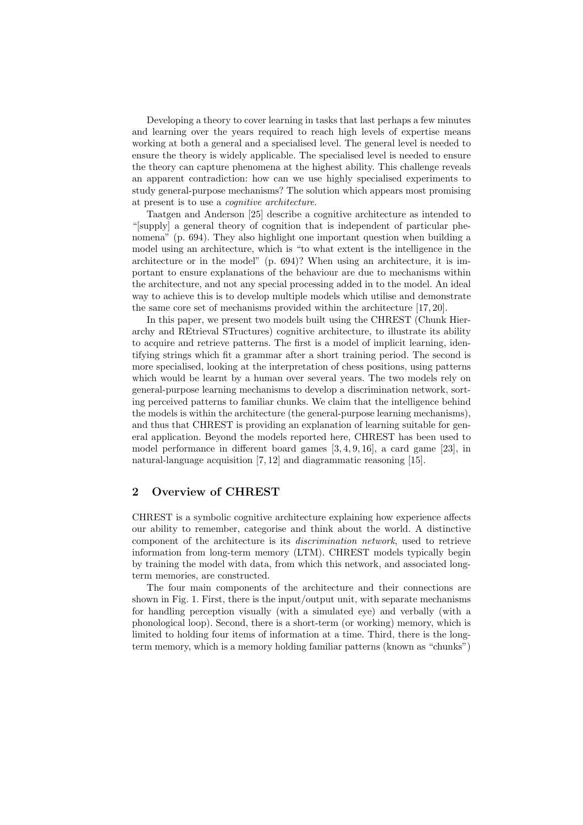Developing a theory to cover learning in tasks that last perhaps a few minutes and learning over the years required to reach high levels of expertise means working at both a general and a specialised level. The general level is needed to ensure the theory is widely applicable. The specialised level is needed to ensure the theory can capture phenomena at the highest ability. This challenge reveals an apparent contradiction: how can we use highly specialised experiments to study general-purpose mechanisms? The solution which appears most promising at present is to use a cognitive architecture.

Taatgen and Anderson [25] describe a cognitive architecture as intended to "[supply] a general theory of cognition that is independent of particular phenomena" (p. 694). They also highlight one important question when building a model using an architecture, which is "to what extent is the intelligence in the architecture or in the model" (p. 694)? When using an architecture, it is important to ensure explanations of the behaviour are due to mechanisms within the architecture, and not any special processing added in to the model. An ideal way to achieve this is to develop multiple models which utilise and demonstrate the same core set of mechanisms provided within the architecture [17, 20].

In this paper, we present two models built using the CHREST (Chunk Hierarchy and REtrieval STructures) cognitive architecture, to illustrate its ability to acquire and retrieve patterns. The first is a model of implicit learning, identifying strings which fit a grammar after a short training period. The second is more specialised, looking at the interpretation of chess positions, using patterns which would be learnt by a human over several years. The two models rely on general-purpose learning mechanisms to develop a discrimination network, sorting perceived patterns to familiar chunks. We claim that the intelligence behind the models is within the architecture (the general-purpose learning mechanisms), and thus that CHREST is providing an explanation of learning suitable for general application. Beyond the models reported here, CHREST has been used to model performance in different board games [3, 4, 9, 16], a card game [23], in natural-language acquisition [7, 12] and diagrammatic reasoning [15].

## 2 Overview of CHREST

CHREST is a symbolic cognitive architecture explaining how experience affects our ability to remember, categorise and think about the world. A distinctive component of the architecture is its discrimination network, used to retrieve information from long-term memory (LTM). CHREST models typically begin by training the model with data, from which this network, and associated longterm memories, are constructed.

The four main components of the architecture and their connections are shown in Fig. 1. First, there is the input/output unit, with separate mechanisms for handling perception visually (with a simulated eye) and verbally (with a phonological loop). Second, there is a short-term (or working) memory, which is limited to holding four items of information at a time. Third, there is the longterm memory, which is a memory holding familiar patterns (known as "chunks")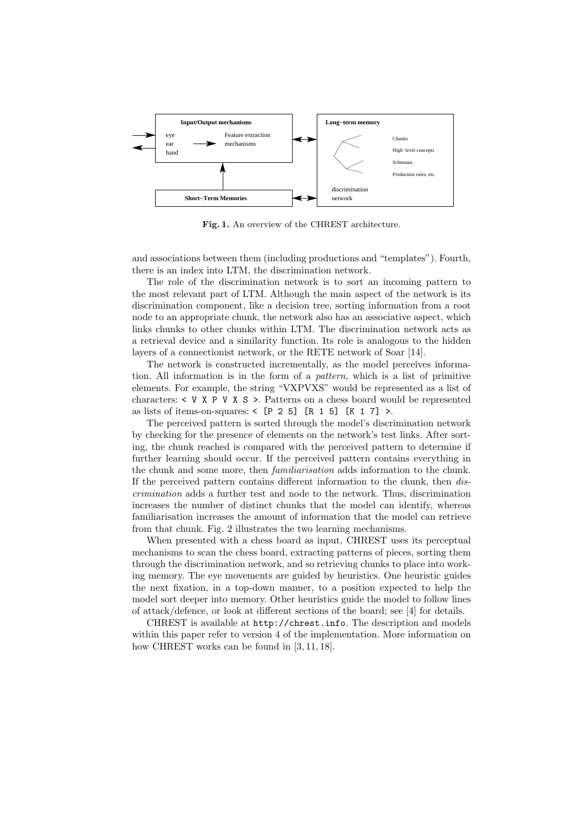

Fig. 1. An overview of the CHREST architecture.

and associations between them (including productions and "templates"). Fourth, there is an index into LTM, the discrimination network.

The role of the discrimination network is to sort an incoming pattern to the most relevant part of LTM. Although the main aspect of the network is its discrimination component, like a decision tree, sorting information from a root node to an appropriate chunk, the network also has an associative aspect, which links chunks to other chunks within LTM. The discrimination network acts as a retrieval device and a similarity function. Its role is analogous to the hidden layers of a connectionist network, or the RETE network of Soar [14].

The network is constructed incrementally, as the model perceives information. All information is in the form of a pattern, which is a list of primitive elements. For example, the string "VXPVXS" would be represented as a list of characters: < V X P V X S >. Patterns on a chess board would be represented as lists of items-on-squares:  $\lt [P \ 2 \ 5]$   $[R \ 1 \ 5]$   $[K \ 1 \ 7]$   $\gt$ .

The perceived pattern is sorted through the model's discrimination network by checking for the presence of elements on the network's test links. After sorting, the chunk reached is compared with the perceived pattern to determine if further learning should occur. If the perceived pattern contains everything in the chunk and some more, then familiarisation adds information to the chunk. If the perceived pattern contains different information to the chunk, then discrimination adds a further test and node to the network. Thus, discrimination increases the number of distinct chunks that the model can identify, whereas familiarisation increases the amount of information that the model can retrieve from that chunk. Fig. 2 illustrates the two learning mechanisms.

When presented with a chess board as input, CHREST uses its perceptual mechanisms to scan the chess board, extracting patterns of pieces, sorting them through the discrimination network, and so retrieving chunks to place into working memory. The eye movements are guided by heuristics. One heuristic guides the next fixation, in a top-down manner, to a position expected to help the model sort deeper into memory. Other heuristics guide the model to follow lines of attack/defence, or look at different sections of the board; see [4] for details.

CHREST is available at http://chrest.info. The description and models within this paper refer to version 4 of the implementation. More information on how CHREST works can be found in [3, 11, 18].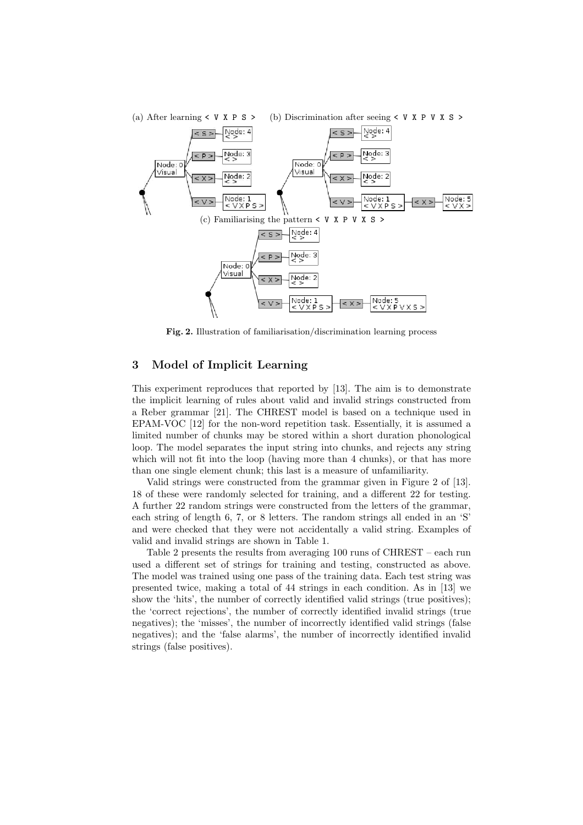

Fig. 2. Illustration of familiarisation/discrimination learning process

## 3 Model of Implicit Learning

This experiment reproduces that reported by [13]. The aim is to demonstrate the implicit learning of rules about valid and invalid strings constructed from a Reber grammar [21]. The CHREST model is based on a technique used in EPAM-VOC [12] for the non-word repetition task. Essentially, it is assumed a limited number of chunks may be stored within a short duration phonological loop. The model separates the input string into chunks, and rejects any string which will not fit into the loop (having more than 4 chunks), or that has more than one single element chunk; this last is a measure of unfamiliarity.

Valid strings were constructed from the grammar given in Figure 2 of [13]. 18 of these were randomly selected for training, and a different 22 for testing. A further 22 random strings were constructed from the letters of the grammar, each string of length 6, 7, or 8 letters. The random strings all ended in an 'S' and were checked that they were not accidentally a valid string. Examples of valid and invalid strings are shown in Table 1.

Table 2 presents the results from averaging 100 runs of CHREST – each run used a different set of strings for training and testing, constructed as above. The model was trained using one pass of the training data. Each test string was presented twice, making a total of 44 strings in each condition. As in [13] we show the 'hits', the number of correctly identified valid strings (true positives); the 'correct rejections', the number of correctly identified invalid strings (true negatives); the 'misses', the number of incorrectly identified valid strings (false negatives); and the 'false alarms', the number of incorrectly identified invalid strings (false positives).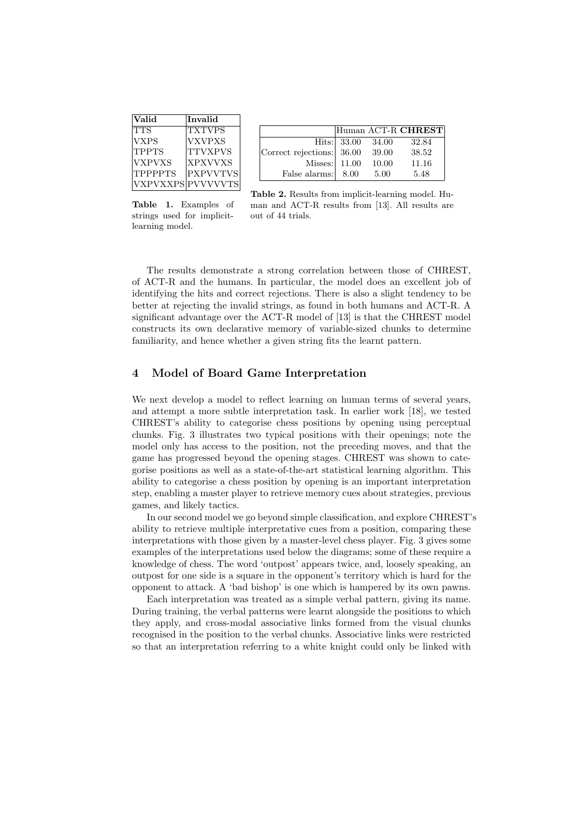| Valid          | Invalid            |
|----------------|--------------------|
| <b>TTS</b>     | <b>TXTVPS</b>      |
| VXPS           | <b>VXVPXS</b>      |
| <b>TPPTS</b>   | ITTVXPVS           |
| <b>VXPVXS</b>  | XPXVVXS            |
| <b>TPPPPTS</b> | <b>PXPVVTVS</b>    |
|                | VXPVXXPS PVVVVVVTS |

|                                 |                   |       | $ $ Human ACT-R <b>CHREST</b> |
|---------------------------------|-------------------|-------|-------------------------------|
|                                 | Hits: 33.00 34.00 |       | 32.84                         |
| Correct rejections: 36.00 39.00 |                   |       | 38.52                         |
| Misses: 11.00                   |                   | 10.00 | 11.16                         |
| False alarms: 8.00              |                   | 5.00  | 5.48                          |

Table 1. Examples of strings used for implicitlearning model.

Table 2. Results from implicit-learning model. Human and ACT-R results from [13]. All results are out of 44 trials.

The results demonstrate a strong correlation between those of CHREST, of ACT-R and the humans. In particular, the model does an excellent job of identifying the hits and correct rejections. There is also a slight tendency to be better at rejecting the invalid strings, as found in both humans and ACT-R. A significant advantage over the ACT-R model of [13] is that the CHREST model constructs its own declarative memory of variable-sized chunks to determine familiarity, and hence whether a given string fits the learnt pattern.

## 4 Model of Board Game Interpretation

We next develop a model to reflect learning on human terms of several years, and attempt a more subtle interpretation task. In earlier work [18], we tested CHREST's ability to categorise chess positions by opening using perceptual chunks. Fig. 3 illustrates two typical positions with their openings; note the model only has access to the position, not the preceding moves, and that the game has progressed beyond the opening stages. CHREST was shown to categorise positions as well as a state-of-the-art statistical learning algorithm. This ability to categorise a chess position by opening is an important interpretation step, enabling a master player to retrieve memory cues about strategies, previous games, and likely tactics.

In our second model we go beyond simple classification, and explore CHREST's ability to retrieve multiple interpretative cues from a position, comparing these interpretations with those given by a master-level chess player. Fig. 3 gives some examples of the interpretations used below the diagrams; some of these require a knowledge of chess. The word 'outpost' appears twice, and, loosely speaking, an outpost for one side is a square in the opponent's territory which is hard for the opponent to attack. A 'bad bishop' is one which is hampered by its own pawns.

Each interpretation was treated as a simple verbal pattern, giving its name. During training, the verbal patterns were learnt alongside the positions to which they apply, and cross-modal associative links formed from the visual chunks recognised in the position to the verbal chunks. Associative links were restricted so that an interpretation referring to a white knight could only be linked with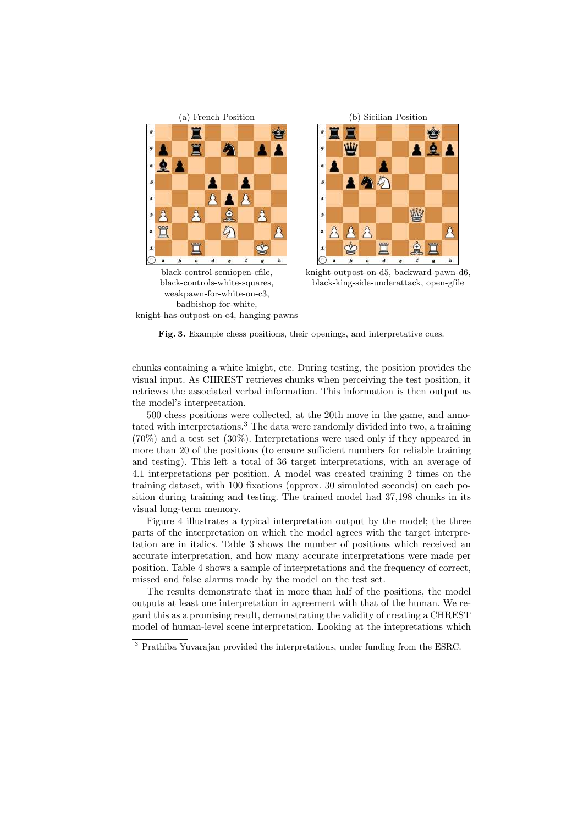

knight-has-outpost-on-c4, hanging-pawns



knight-outpost-on-d5, backward-pawn-d6, black-king-side-underattack, open-gfile



chunks containing a white knight, etc. During testing, the position provides the visual input. As CHREST retrieves chunks when perceiving the test position, it retrieves the associated verbal information. This information is then output as the model's interpretation.

500 chess positions were collected, at the 20th move in the game, and annotated with interpretations.<sup>3</sup> The data were randomly divided into two, a training (70%) and a test set (30%). Interpretations were used only if they appeared in more than 20 of the positions (to ensure sufficient numbers for reliable training and testing). This left a total of 36 target interpretations, with an average of 4.1 interpretations per position. A model was created training 2 times on the training dataset, with 100 fixations (approx. 30 simulated seconds) on each position during training and testing. The trained model had 37,198 chunks in its visual long-term memory.

Figure 4 illustrates a typical interpretation output by the model; the three parts of the interpretation on which the model agrees with the target interpretation are in italics. Table 3 shows the number of positions which received an accurate interpretation, and how many accurate interpretations were made per position. Table 4 shows a sample of interpretations and the frequency of correct, missed and false alarms made by the model on the test set.

The results demonstrate that in more than half of the positions, the model outputs at least one interpretation in agreement with that of the human. We regard this as a promising result, demonstrating the validity of creating a CHREST model of human-level scene interpretation. Looking at the intepretations which

<sup>3</sup> Prathiba Yuvarajan provided the interpretations, under funding from the ESRC.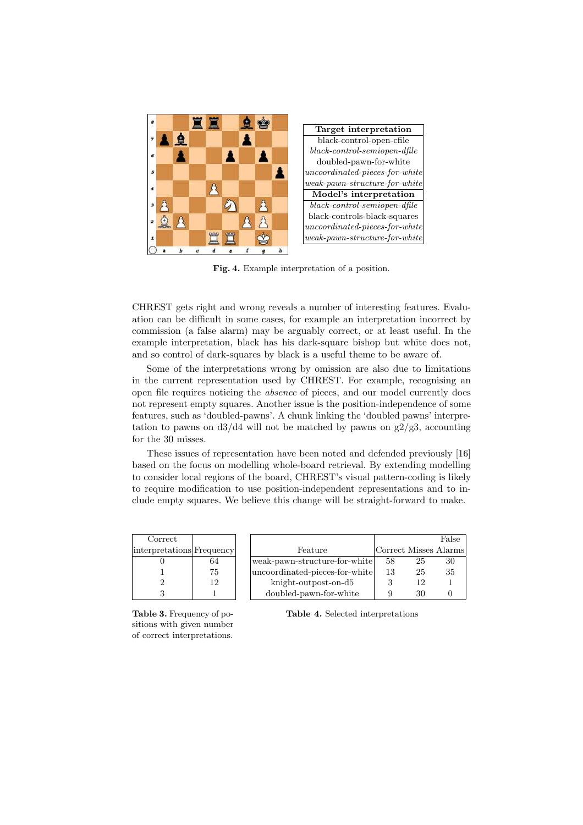



Fig. 4. Example interpretation of a position.

CHREST gets right and wrong reveals a number of interesting features. Evaluation can be difficult in some cases, for example an interpretation incorrect by commission (a false alarm) may be arguably correct, or at least useful. In the example interpretation, black has his dark-square bishop but white does not, and so control of dark-squares by black is a useful theme to be aware of.

Some of the interpretations wrong by omission are also due to limitations in the current representation used by CHREST. For example, recognising an open file requires noticing the absence of pieces, and our model currently does not represent empty squares. Another issue is the position-independence of some features, such as 'doubled-pawns'. A chunk linking the 'doubled pawns' interpretation to pawns on  $d3/d4$  will not be matched by pawns on  $g2/g3$ , accounting for the 30 misses.

These issues of representation have been noted and defended previously [16] based on the focus on modelling whole-board retrieval. By extending modelling to consider local regions of the board, CHREST's visual pattern-coding is likely to require modification to use position-independent representations and to include empty squares. We believe this change will be straight-forward to make.

| Correct                   |    |
|---------------------------|----|
| interpretations Frequency |    |
|                           | 64 |
|                           | 75 |
| 2                         | 12 |
| ર                         |    |

|                                |                       |    | False |
|--------------------------------|-----------------------|----|-------|
| Feature                        | Correct Misses Alarms |    |       |
| weak-pawn-structure-for-white  | 58                    | 25 | 30    |
| uncoordinated-pieces-for-white | 13                    | 25 | 35    |
| knight-outpost-on-d5           |                       | 12 |       |
| doubled-pawn-for-white         |                       |    |       |

Table 3. Frequency of positions with given number of correct interpretations.

Table 4. Selected interpretations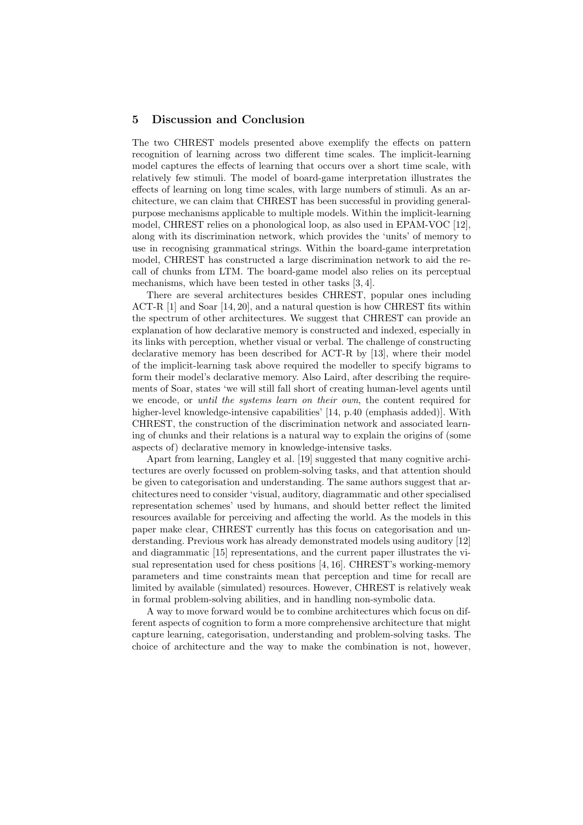#### 5 Discussion and Conclusion

The two CHREST models presented above exemplify the effects on pattern recognition of learning across two different time scales. The implicit-learning model captures the effects of learning that occurs over a short time scale, with relatively few stimuli. The model of board-game interpretation illustrates the effects of learning on long time scales, with large numbers of stimuli. As an architecture, we can claim that CHREST has been successful in providing generalpurpose mechanisms applicable to multiple models. Within the implicit-learning model, CHREST relies on a phonological loop, as also used in EPAM-VOC [12], along with its discrimination network, which provides the 'units' of memory to use in recognising grammatical strings. Within the board-game interpretation model, CHREST has constructed a large discrimination network to aid the recall of chunks from LTM. The board-game model also relies on its perceptual mechanisms, which have been tested in other tasks [3, 4].

There are several architectures besides CHREST, popular ones including ACT-R [1] and Soar [14, 20], and a natural question is how CHREST fits within the spectrum of other architectures. We suggest that CHREST can provide an explanation of how declarative memory is constructed and indexed, especially in its links with perception, whether visual or verbal. The challenge of constructing declarative memory has been described for ACT-R by [13], where their model of the implicit-learning task above required the modeller to specify bigrams to form their model's declarative memory. Also Laird, after describing the requirements of Soar, states 'we will still fall short of creating human-level agents until we encode, or until the systems learn on their own, the content required for higher-level knowledge-intensive capabilities' [14, p.40 (emphasis added)]. With CHREST, the construction of the discrimination network and associated learning of chunks and their relations is a natural way to explain the origins of (some aspects of) declarative memory in knowledge-intensive tasks.

Apart from learning, Langley et al. [19] suggested that many cognitive architectures are overly focussed on problem-solving tasks, and that attention should be given to categorisation and understanding. The same authors suggest that architectures need to consider 'visual, auditory, diagrammatic and other specialised representation schemes' used by humans, and should better reflect the limited resources available for perceiving and affecting the world. As the models in this paper make clear, CHREST currently has this focus on categorisation and understanding. Previous work has already demonstrated models using auditory [12] and diagrammatic [15] representations, and the current paper illustrates the visual representation used for chess positions [4, 16]. CHREST's working-memory parameters and time constraints mean that perception and time for recall are limited by available (simulated) resources. However, CHREST is relatively weak in formal problem-solving abilities, and in handling non-symbolic data.

A way to move forward would be to combine architectures which focus on different aspects of cognition to form a more comprehensive architecture that might capture learning, categorisation, understanding and problem-solving tasks. The choice of architecture and the way to make the combination is not, however,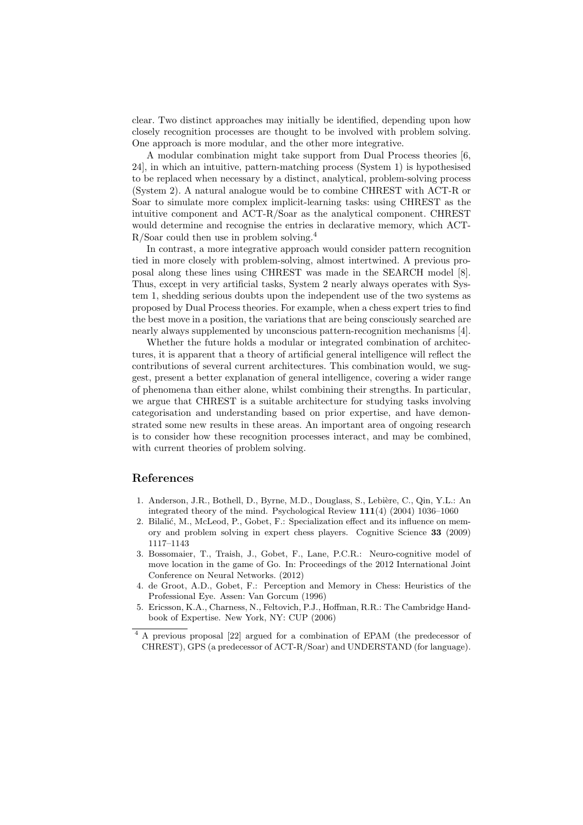clear. Two distinct approaches may initially be identified, depending upon how closely recognition processes are thought to be involved with problem solving. One approach is more modular, and the other more integrative.

A modular combination might take support from Dual Process theories [6, 24], in which an intuitive, pattern-matching process (System 1) is hypothesised to be replaced when necessary by a distinct, analytical, problem-solving process (System 2). A natural analogue would be to combine CHREST with ACT-R or Soar to simulate more complex implicit-learning tasks: using CHREST as the intuitive component and ACT-R/Soar as the analytical component. CHREST would determine and recognise the entries in declarative memory, which ACT-R/Soar could then use in problem solving.<sup>4</sup>

In contrast, a more integrative approach would consider pattern recognition tied in more closely with problem-solving, almost intertwined. A previous proposal along these lines using CHREST was made in the SEARCH model [8]. Thus, except in very artificial tasks, System 2 nearly always operates with System 1, shedding serious doubts upon the independent use of the two systems as proposed by Dual Process theories. For example, when a chess expert tries to find the best move in a position, the variations that are being consciously searched are nearly always supplemented by unconscious pattern-recognition mechanisms [4].

Whether the future holds a modular or integrated combination of architectures, it is apparent that a theory of artificial general intelligence will reflect the contributions of several current architectures. This combination would, we suggest, present a better explanation of general intelligence, covering a wider range of phenomena than either alone, whilst combining their strengths. In particular, we argue that CHREST is a suitable architecture for studying tasks involving categorisation and understanding based on prior expertise, and have demonstrated some new results in these areas. An important area of ongoing research is to consider how these recognition processes interact, and may be combined, with current theories of problem solving.

# References

- 1. Anderson, J.R., Bothell, D., Byrne, M.D., Douglass, S., Lebière, C., Qin, Y.L.: An integrated theory of the mind. Psychological Review 111(4) (2004) 1036–1060
- 2. Bilalić, M., McLeod, P., Gobet, F.: Specialization effect and its influence on memory and problem solving in expert chess players. Cognitive Science 33 (2009) 1117–1143
- 3. Bossomaier, T., Traish, J., Gobet, F., Lane, P.C.R.: Neuro-cognitive model of move location in the game of Go. In: Proceedings of the 2012 International Joint Conference on Neural Networks. (2012)
- 4. de Groot, A.D., Gobet, F.: Perception and Memory in Chess: Heuristics of the Professional Eye. Assen: Van Gorcum (1996)
- 5. Ericsson, K.A., Charness, N., Feltovich, P.J., Hoffman, R.R.: The Cambridge Handbook of Expertise. New York, NY: CUP (2006)

<sup>4</sup> A previous proposal [22] argued for a combination of EPAM (the predecessor of CHREST), GPS (a predecessor of ACT-R/Soar) and UNDERSTAND (for language).